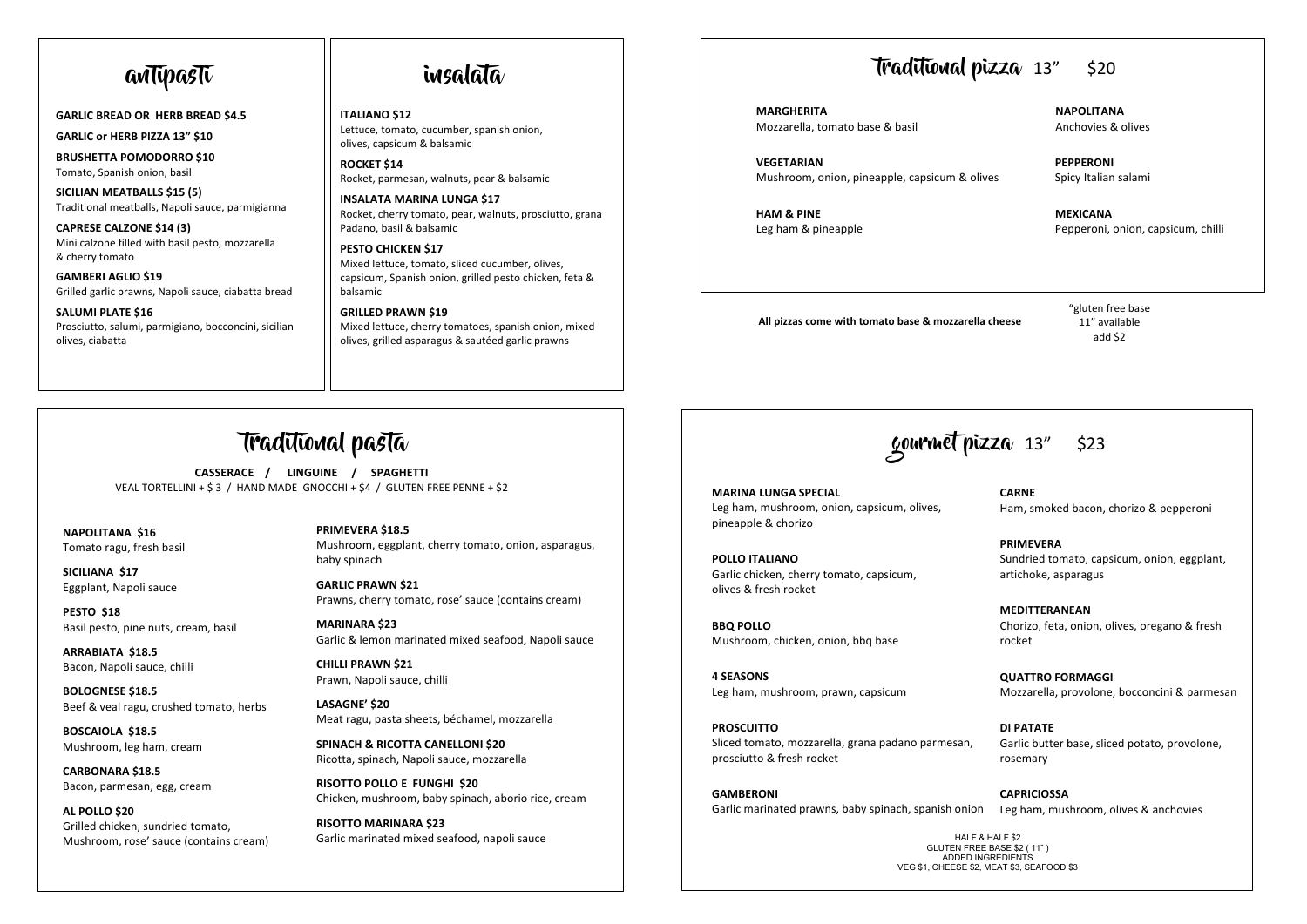**GARLIC BREAD OR HERB BREAD \$4.5**

**GARLIC or HERB PIZZA 13" \$10**

**BRUSHETTA POMODORRO \$10**  Tomato, Spanish onion, basil

**SICILIAN MEATBALLS \$15 (5)** Traditional meatballs, Napoli sauce, parmigianna

Mini calzone filled with basil pesto, mozzarella<br>8. sherrutomate **CAPRESE CALZONE \$14 (3)** & cherry tomato

**GAMBERI AGLIO \$19** Grilled garlic prawns, Napoli sauce, ciabatta bread

 **SALUMI PLATE \$16** Prosciutto, salumi, parmigiano, bocconcini, sicilian olives, ciabatta

## antipasti insalata

**ITALIANO \$12** Lettuce, tomato, cucumber, spanish onion, olives, capsicum & balsamic

**ROCKET \$14**  Rocket, parmesan, walnuts, pear & balsamic

**INSALATA MARINA LUNGA \$17**  Rocket, cherry tomato, pear, walnuts, prosciutto, grana Padano, basil & balsamic

**PESTO CHICKEN \$17** Mixed lettuce, tomato, sliced cucumber, olives, capsicum, Spanish onion, grilled pesto chicken, feta & balsamic

**GRILLED PRAWN \$19** Mixed lettuce, cherry tomatoes, spanish onion, mixed olives, grilled asparagus & sautéed garlic prawns

 $\overline{a}$ 

## traditional pizza 13" \$20

**MARGHERITA NAPOLITANA** Mozzarella, tomato base & basil Anchovies & olives

 **VEGETARIAN PEPPERONI** Mushroom, onion, pineapple, capsicum & olives Spicy Italian salami

 **HAM & PINE MEXICANA**

Leg ham & pineapple Pepperoni, onion, capsicum, chilli

**All pizzas come with tomato base & mozzarella cheese**

"gluten free base 11" available add \$2

# traditional pasta

 VEAL TORTELLINI + \$ 3 / HAND MADE GNOCCHI + \$4 / GLUTEN FREE PENNE + \$2 **CASSERACE / LINGUINE / SPAGHETTI**

**NAPOLITANA \$16**  Tomato ragu, fresh basil

 $\overline{a}$ 

**SICILIANA \$17** Eggplant, Napoli sauce

**PESTO \$18** Basil pesto, pine nuts, cream, basil

**ARRABIATA \$18.5** Bacon, Napoli sauce, chilli

**BOLOGNESE \$18.5** Beef & veal ragu, crushed tomato, herbs

**BOSCAIOLA \$18.5** Mushroom, leg ham, cream

**CARBONARA \$18.5** Bacon, parmesan, egg, cream

**AL POLLO \$20** Grilled chicken, sundried tomato, Mushroom, rose' sauce (contains cream) **PRIMEVERA \$18.5** Mushroom, eggplant, cherry tomato, onion, asparagus, baby spinach

**GARLIC PRAWN \$21** Prawns, cherry tomato, rose' sauce (contains cream)

**MARINARA \$23** Garlic & lemon marinated mixed seafood, Napoli sauce

**CHILLI PRAWN \$21** Prawn, Napoli sauce, chilli

**LASAGNE' \$20** Meat ragu, pasta sheets, béchamel, mozzarella

 **SPINACH & RICOTTA CANELLONI \$20** Ricotta, spinach, Napoli sauce, mozzarella

**RISOTTO POLLO E FUNGHI \$20** Chicken, mushroom, baby spinach, aborio rice, cream

**RISOTTO MARINARA \$23** Garlic marinated mixed seafood, napoli sauce

# gourmet pizza 13" \$23

**MARINA LUNGA SPECIAL** Leg ham, mushroom, onion, capsicum, olives, pineapple & chorizo

**POLLO ITALIANO** Garlic chicken, cherry tomato, capsicum, olives & fresh rocket

**BBQ POLLO** Mushroom, chicken, onion, bbq base

 Leg ham, mushroom, prawn, capsicum **4 SEASONS**

**PROSCUITTO** Sliced tomato, mozzarella, grana padano parmesan, prosciutto & fresh rocket

**GAMBERONI** Garlic marinated prawns, baby spinach, spanish onion Leg ham, mushroom, olives & anchovies

**CARNE**  Ham, smoked bacon, chorizo & pepperoni

**PRIMEVERA** Sundried tomato, capsicum, onion, eggplant, artichoke, asparagus

**MEDITTERANEAN** Chorizo, feta, onion, olives, oregano & fresh rocket

**QUATTRO FORMAGGI** Mozzarella, provolone, bocconcini & parmesan

**DI PATATE** Garlic butter base, sliced potato, provolone, rosemary

**CAPRICIOSSA**

HALF & HALF \$2 GLUTEN FREE BASE \$2 ( 11" ) ADDED INGREDIENTS VEG \$1, CHEESE \$2, MEAT \$3, SEAFOOD \$3